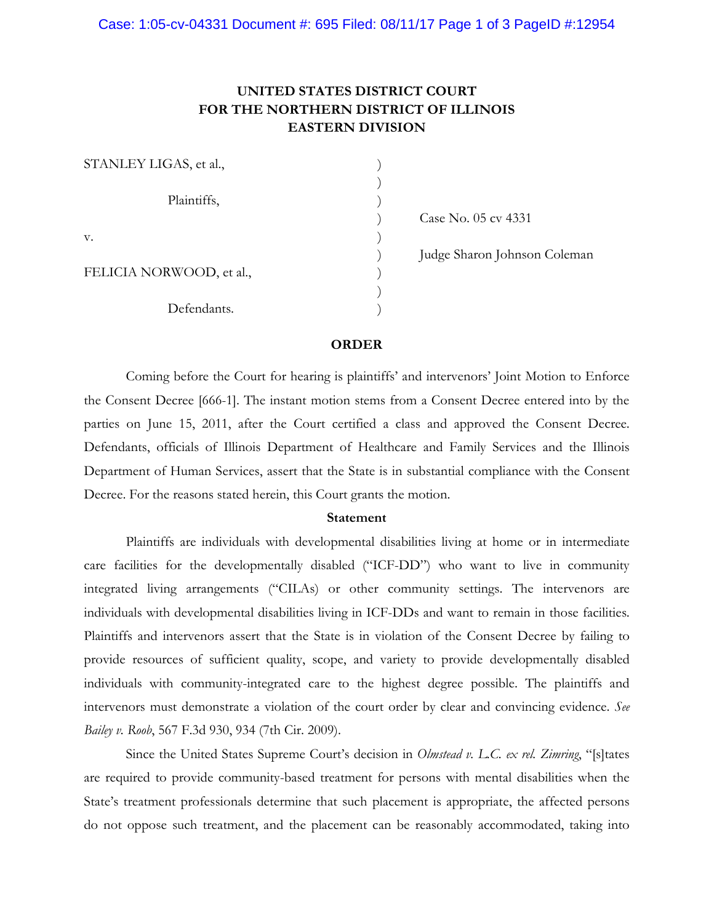# **UNITED STATES DISTRICT COURT FOR THE NORTHERN DISTRICT OF ILLINOIS EASTERN DIVISION**

| STANLEY LIGAS, et al.,   |  |
|--------------------------|--|
|                          |  |
| Plaintiffs,              |  |
|                          |  |
| V.                       |  |
|                          |  |
| FELICIA NORWOOD, et al., |  |
|                          |  |
| Defendants.              |  |

) Case No. 05 cv 4331

) Judge Sharon Johnson Coleman

#### **ORDER**

Coming before the Court for hearing is plaintiffs' and intervenors' Joint Motion to Enforce the Consent Decree [666-1]. The instant motion stems from a Consent Decree entered into by the parties on June 15, 2011, after the Court certified a class and approved the Consent Decree. Defendants, officials of Illinois Department of Healthcare and Family Services and the Illinois Department of Human Services, assert that the State is in substantial compliance with the Consent Decree. For the reasons stated herein, this Court grants the motion.

## **Statement**

Plaintiffs are individuals with developmental disabilities living at home or in intermediate care facilities for the developmentally disabled ("ICF-DD") who want to live in community integrated living arrangements ("CILAs) or other community settings. The intervenors are individuals with developmental disabilities living in ICF-DDs and want to remain in those facilities. Plaintiffs and intervenors assert that the State is in violation of the Consent Decree by failing to provide resources of sufficient quality, scope, and variety to provide developmentally disabled individuals with community-integrated care to the highest degree possible. The plaintiffs and intervenors must demonstrate a violation of the court order by clear and convincing evidence. *See Bailey v. Roob*, 567 F.3d 930, 934 (7th Cir. 2009).

Since the United States Supreme Court's decision in *Olmstead v. L.C. ex rel. Zimring*, "[s]tates are required to provide community-based treatment for persons with mental disabilities when the State's treatment professionals determine that such placement is appropriate, the affected persons do not oppose such treatment, and the placement can be reasonably accommodated, taking into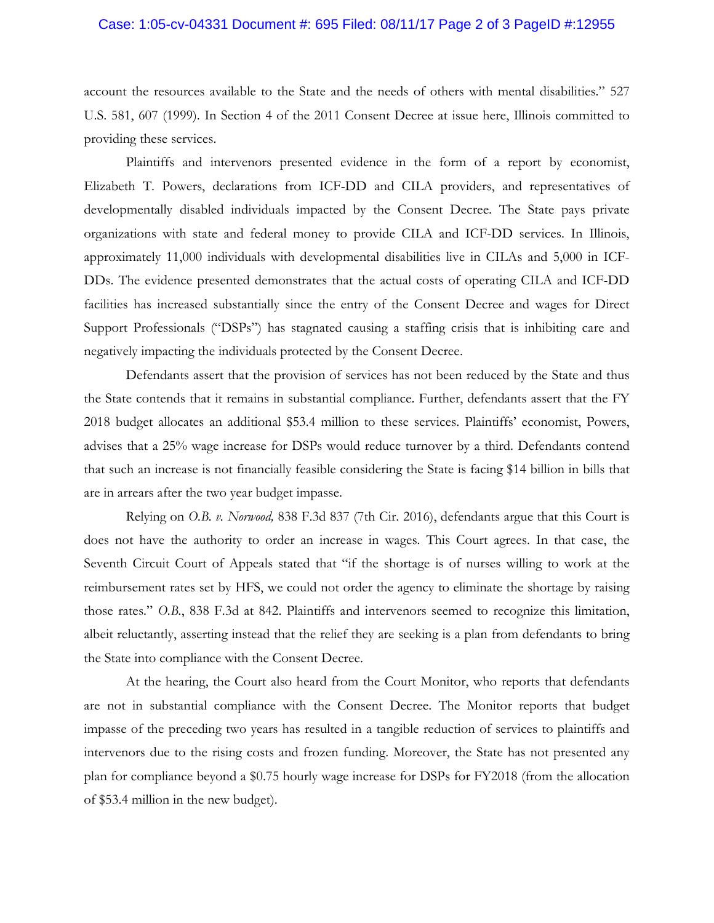#### Case: 1:05-cv-04331 Document #: 695 Filed: 08/11/17 Page 2 of 3 PageID #:12955

account the resources available to the State and the needs of others with mental disabilities." 527 U.S. 581, 607 (1999). In Section 4 of the 2011 Consent Decree at issue here, Illinois committed to providing these services.

Plaintiffs and intervenors presented evidence in the form of a report by economist, Elizabeth T. Powers, declarations from ICF-DD and CILA providers, and representatives of developmentally disabled individuals impacted by the Consent Decree. The State pays private organizations with state and federal money to provide CILA and ICF-DD services. In Illinois, approximately 11,000 individuals with developmental disabilities live in CILAs and 5,000 in ICF-DDs. The evidence presented demonstrates that the actual costs of operating CILA and ICF-DD facilities has increased substantially since the entry of the Consent Decree and wages for Direct Support Professionals ("DSPs") has stagnated causing a staffing crisis that is inhibiting care and negatively impacting the individuals protected by the Consent Decree.

Defendants assert that the provision of services has not been reduced by the State and thus the State contends that it remains in substantial compliance. Further, defendants assert that the FY 2018 budget allocates an additional \$53.4 million to these services. Plaintiffs' economist, Powers, advises that a 25% wage increase for DSPs would reduce turnover by a third. Defendants contend that such an increase is not financially feasible considering the State is facing \$14 billion in bills that are in arrears after the two year budget impasse.

Relying on *O.B. v. Norwood,* 838 F.3d 837 (7th Cir. 2016), defendants argue that this Court is does not have the authority to order an increase in wages. This Court agrees. In that case, the Seventh Circuit Court of Appeals stated that "if the shortage is of nurses willing to work at the reimbursement rates set by HFS, we could not order the agency to eliminate the shortage by raising those rates." *O.B.*, 838 F.3d at 842. Plaintiffs and intervenors seemed to recognize this limitation, albeit reluctantly, asserting instead that the relief they are seeking is a plan from defendants to bring the State into compliance with the Consent Decree.

At the hearing, the Court also heard from the Court Monitor, who reports that defendants are not in substantial compliance with the Consent Decree. The Monitor reports that budget impasse of the preceding two years has resulted in a tangible reduction of services to plaintiffs and intervenors due to the rising costs and frozen funding. Moreover, the State has not presented any plan for compliance beyond a \$0.75 hourly wage increase for DSPs for FY2018 (from the allocation of \$53.4 million in the new budget).